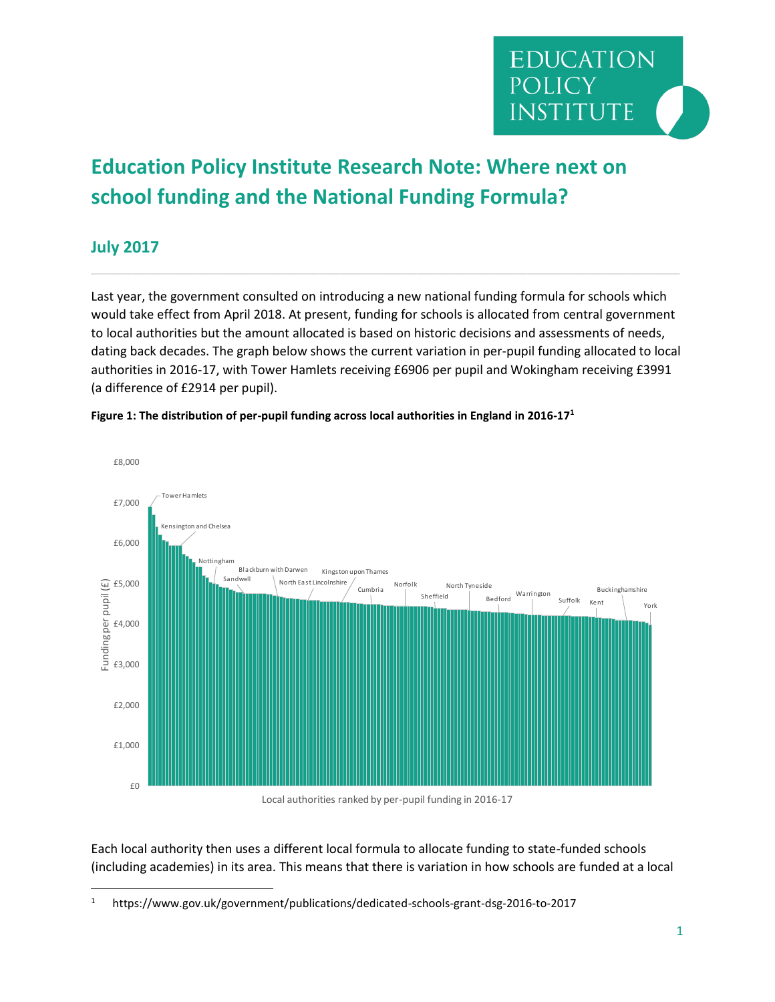

## **Education Policy Institute Research Note: Where next on school funding and the National Funding Formula?**

## **July 2017**

 $\overline{\phantom{a}}$ 

Last year, the government consulted on introducing a new national funding formula for schools which would take effect from April 2018. At present, funding for schools is allocated from central government to local authorities but the amount allocated is based on historic decisions and assessments of needs, dating back decades. The graph below shows the current variation in per-pupil funding allocated to local authorities in 2016-17, with Tower Hamlets receiving £6906 per pupil and Wokingham receiving £3991 (a difference of £2914 per pupil).



## **Figure 1: The distribution of per-pupil funding across local authorities in England in 2016-17<sup>1</sup>**

Local authorities ranked by per-pupil funding in 2016-17

Each local authority then uses a different local formula to allocate funding to state-funded schools (including academies) in its area. This means that there is variation in how schools are funded at a local

<sup>1</sup> https://www.gov.uk/government/publications/dedicated-schools-grant-dsg-2016-to-2017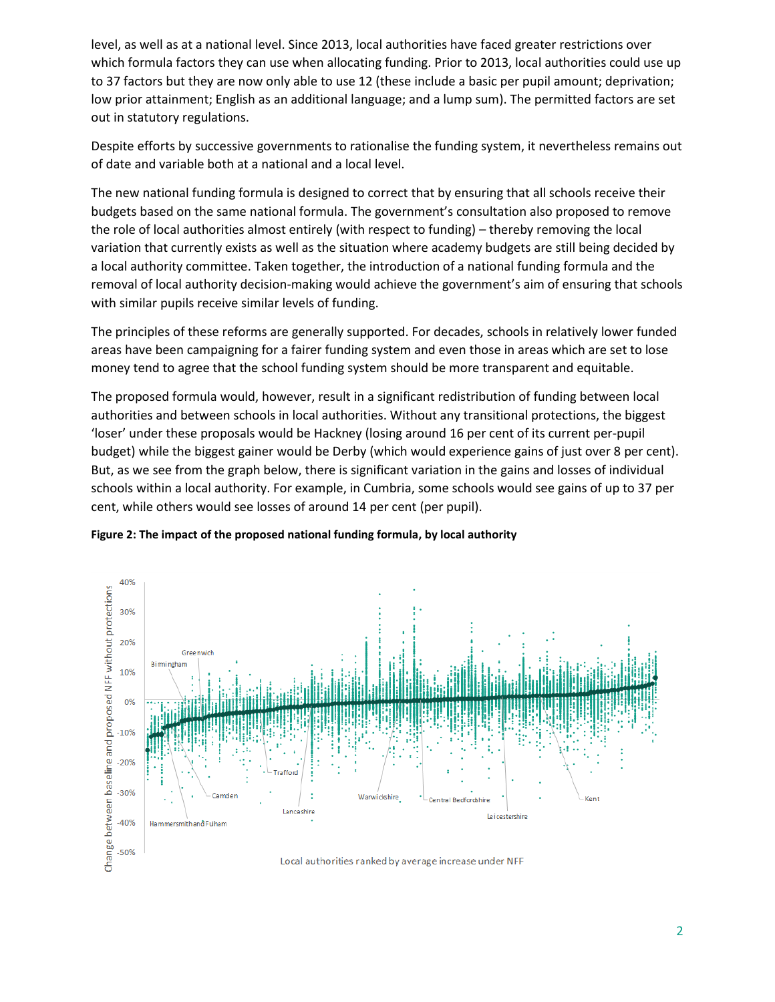level, as well as at a national level. Since 2013, local authorities have faced greater restrictions over which formula factors they can use when allocating funding. Prior to 2013, local authorities could use up to 37 factors but they are now only able to use 12 (these include a basic per pupil amount; deprivation; low prior attainment; English as an additional language; and a lump sum). The permitted factors are set out in statutory regulations.

Despite efforts by successive governments to rationalise the funding system, it nevertheless remains out of date and variable both at a national and a local level.

The new national funding formula is designed to correct that by ensuring that all schools receive their budgets based on the same national formula. The government's consultation also proposed to remove the role of local authorities almost entirely (with respect to funding) – thereby removing the local variation that currently exists as well as the situation where academy budgets are still being decided by a local authority committee. Taken together, the introduction of a national funding formula and the removal of local authority decision-making would achieve the government's aim of ensuring that schools with similar pupils receive similar levels of funding.

The principles of these reforms are generally supported. For decades, schools in relatively lower funded areas have been campaigning for a fairer funding system and even those in areas which are set to lose money tend to agree that the school funding system should be more transparent and equitable.

The proposed formula would, however, result in a significant redistribution of funding between local authorities and between schools in local authorities. Without any transitional protections, the biggest 'loser' under these proposals would be Hackney (losing around 16 per cent of its current per-pupil budget) while the biggest gainer would be Derby (which would experience gains of just over 8 per cent). But, as we see from the graph below, there is significant variation in the gains and losses of individual schools within a local authority. For example, in Cumbria, some schools would see gains of up to 37 per cent, while others would see losses of around 14 per cent (per pupil).



**Figure 2: The impact of the proposed national funding formula, by local authority**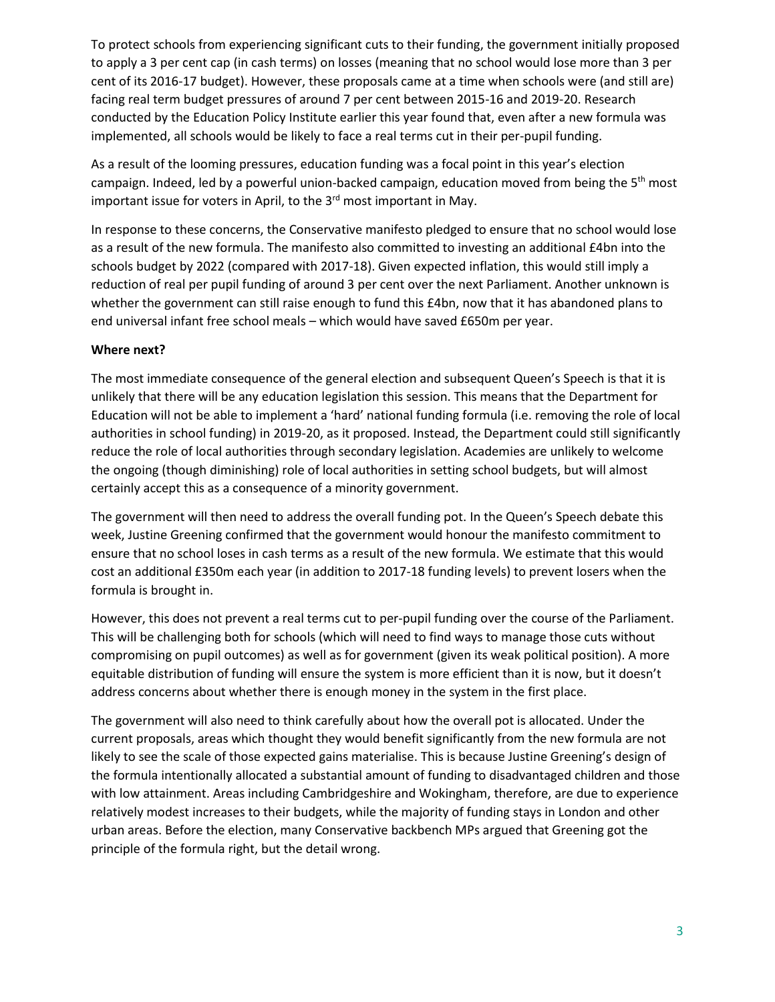To protect schools from experiencing significant cuts to their funding, the government initially proposed to apply a 3 per cent cap (in cash terms) on losses (meaning that no school would lose more than 3 per cent of its 2016-17 budget). However, these proposals came at a time when schools were (and still are) facing real term budget pressures of around 7 per cent between 2015-16 and 2019-20. Research conducted by the Education Policy Institute earlier this year found that, even after a new formula was implemented, all schools would be likely to face a real terms cut in their per-pupil funding.

As a result of the looming pressures, education funding was a focal point in this year's election campaign. Indeed, led by a powerful union-backed campaign, education moved from being the  $5<sup>th</sup>$  most important issue for voters in April, to the  $3<sup>rd</sup>$  most important in May.

In response to these concerns, the Conservative manifesto pledged to ensure that no school would lose as a result of the new formula. The manifesto also committed to investing an additional £4bn into the schools budget by 2022 (compared with 2017-18). Given expected inflation, this would still imply a reduction of real per pupil funding of around 3 per cent over the next Parliament. Another unknown is whether the government can still raise enough to fund this £4bn, now that it has abandoned plans to end universal infant free school meals – which would have saved £650m per year.

## **Where next?**

The most immediate consequence of the general election and subsequent Queen's Speech is that it is unlikely that there will be any education legislation this session. This means that the Department for Education will not be able to implement a 'hard' national funding formula (i.e. removing the role of local authorities in school funding) in 2019-20, as it proposed. Instead, the Department could still significantly reduce the role of local authorities through secondary legislation. Academies are unlikely to welcome the ongoing (though diminishing) role of local authorities in setting school budgets, but will almost certainly accept this as a consequence of a minority government.

The government will then need to address the overall funding pot. In the Queen's Speech debate this week, Justine Greening confirmed that the government would honour the manifesto commitment to ensure that no school loses in cash terms as a result of the new formula. We estimate that this would cost an additional £350m each year (in addition to 2017-18 funding levels) to prevent losers when the formula is brought in.

However, this does not prevent a real terms cut to per-pupil funding over the course of the Parliament. This will be challenging both for schools (which will need to find ways to manage those cuts without compromising on pupil outcomes) as well as for government (given its weak political position). A more equitable distribution of funding will ensure the system is more efficient than it is now, but it doesn't address concerns about whether there is enough money in the system in the first place.

The government will also need to think carefully about how the overall pot is allocated. Under the current proposals, areas which thought they would benefit significantly from the new formula are not likely to see the scale of those expected gains materialise. This is because Justine Greening's design of the formula intentionally allocated a substantial amount of funding to disadvantaged children and those with low attainment. Areas including Cambridgeshire and Wokingham, therefore, are due to experience relatively modest increases to their budgets, while the majority of funding stays in London and other urban areas. Before the election, many Conservative backbench MPs argued that Greening got the principle of the formula right, but the detail wrong.